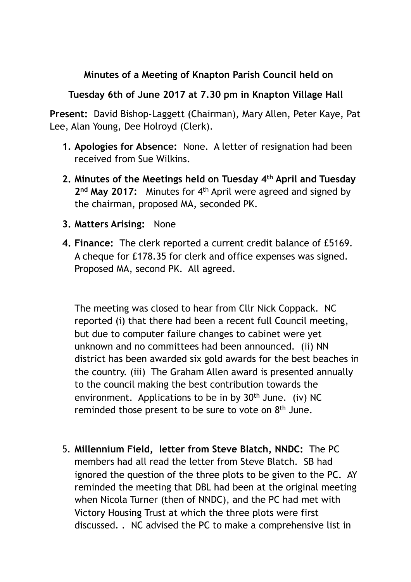## **Minutes of a Meeting of Knapton Parish Council held on**

## **Tuesday 6th of June 2017 at 7.30 pm in Knapton Village Hall**

**Present:** David Bishop-Laggett (Chairman), Mary Allen, Peter Kaye, Pat Lee, Alan Young, Dee Holroyd (Clerk).

- **1. Apologies for Absence:** None. A letter of resignation had been received from Sue Wilkins.
- **2. Minutes of the Meetings held on Tuesday 4th April and Tuesday**  2<sup>nd</sup> May 2017: Minutes for 4<sup>th</sup> April were agreed and signed by the chairman, proposed MA, seconded PK.
- **3. Matters Arising:** None
- **4. Finance:** The clerk reported a current credit balance of £5169. A cheque for £178.35 for clerk and office expenses was signed. Proposed MA, second PK. All agreed.

The meeting was closed to hear from Cllr Nick Coppack. NC reported (i) that there had been a recent full Council meeting, but due to computer failure changes to cabinet were yet unknown and no committees had been announced. (ii) NN district has been awarded six gold awards for the best beaches in the country. (iii) The Graham Allen award is presented annually to the council making the best contribution towards the environment. Applications to be in by  $30<sup>th</sup>$  June. (iv) NC reminded those present to be sure to vote on 8<sup>th</sup> June.

5. **Millennium Field, letter from Steve Blatch, NNDC:** The PC members had all read the letter from Steve Blatch. SB had ignored the question of the three plots to be given to the PC. AY reminded the meeting that DBL had been at the original meeting when Nicola Turner (then of NNDC), and the PC had met with Victory Housing Trust at which the three plots were first discussed. . NC advised the PC to make a comprehensive list in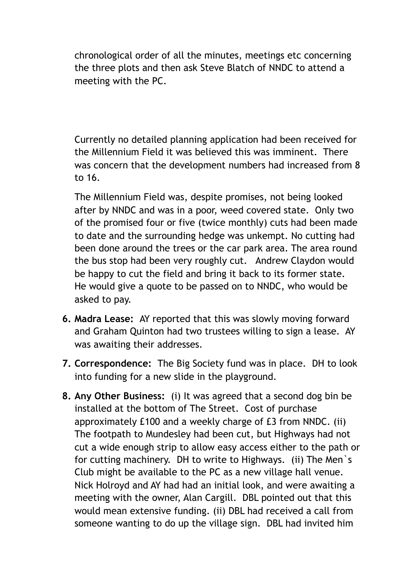chronological order of all the minutes, meetings etc concerning the three plots and then ask Steve Blatch of NNDC to attend a meeting with the PC.

Currently no detailed planning application had been received for the Millennium Field it was believed this was imminent. There was concern that the development numbers had increased from 8 to 16.

The Millennium Field was, despite promises, not being looked after by NNDC and was in a poor, weed covered state. Only two of the promised four or five (twice monthly) cuts had been made to date and the surrounding hedge was unkempt. No cutting had been done around the trees or the car park area. The area round the bus stop had been very roughly cut. Andrew Claydon would be happy to cut the field and bring it back to its former state. He would give a quote to be passed on to NNDC, who would be asked to pay.

- **6. Madra Lease:** AY reported that this was slowly moving forward and Graham Quinton had two trustees willing to sign a lease. AY was awaiting their addresses.
- **7. Correspondence:** The Big Society fund was in place. DH to look into funding for a new slide in the playground.
- **8. Any Other Business:** (i) It was agreed that a second dog bin be installed at the bottom of The Street. Cost of purchase approximately £100 and a weekly charge of £3 from NNDC. (ii) The footpath to Mundesley had been cut, but Highways had not cut a wide enough strip to allow easy access either to the path or for cutting machinery. DH to write to Highways. (ii) The Men`s Club might be available to the PC as a new village hall venue. Nick Holroyd and AY had had an initial look, and were awaiting a meeting with the owner, Alan Cargill. DBL pointed out that this would mean extensive funding. (ii) DBL had received a call from someone wanting to do up the village sign. DBL had invited him